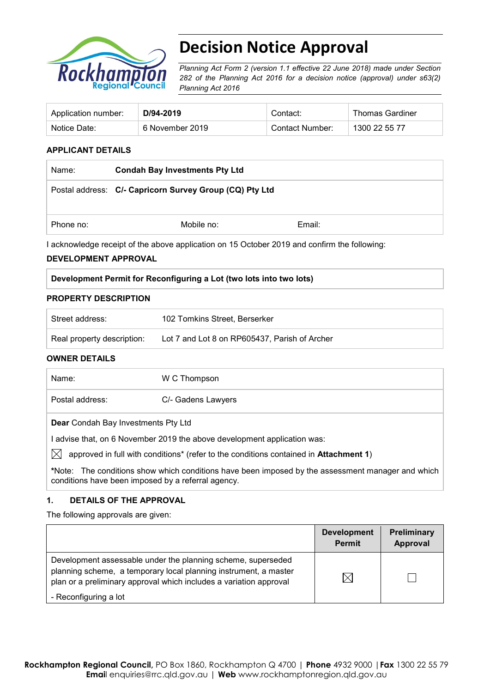

# **Decision Notice Approval**

*Planning Act Form 2 (version 1.1 effective 22 June 2018) made under Section 282 of the Planning Act 2016 for a decision notice (approval) under s63(2) Planning Act 2016*

| Application number: | D/94-2019       | Contact:        | <b>Thomas Gardiner</b> |
|---------------------|-----------------|-----------------|------------------------|
| Notice Date:        | 6 November 2019 | Contact Number: | 1300 22 55 77          |

#### **APPLICANT DETAILS**

| Name:     | <b>Condah Bay Investments Pty Ltd</b>                   |        |  |
|-----------|---------------------------------------------------------|--------|--|
|           | Postal address: C/- Capricorn Survey Group (CQ) Pty Ltd |        |  |
| Phone no: | Mobile no:                                              | Email: |  |

I acknowledge receipt of the above application on 15 October 2019 and confirm the following:

#### **DEVELOPMENT APPROVAL**

| Development Permit for Reconfiguring a Lot (two lots into two lots) |  |  |
|---------------------------------------------------------------------|--|--|
|                                                                     |  |  |

#### **PROPERTY DESCRIPTION**

| Street address:            | 102 Tomkins Street, Berserker                 |
|----------------------------|-----------------------------------------------|
| Real property description: | Lot 7 and Lot 8 on RP605437, Parish of Archer |

#### **OWNER DETAILS**

| Name:                                                                  | W C Thompson                                                                          |  |  |  |
|------------------------------------------------------------------------|---------------------------------------------------------------------------------------|--|--|--|
| Postal address:                                                        | C/- Gadens Lawyers                                                                    |  |  |  |
| <b>Dear</b> Condah Bay Investments Pty Ltd                             |                                                                                       |  |  |  |
| advise that, on 6 November 2019 the above development application was: |                                                                                       |  |  |  |
|                                                                        | approved in full with conditions* (refer to the conditions contained in Attachment 1) |  |  |  |
|                                                                        |                                                                                       |  |  |  |

**\***Note:The conditions show which conditions have been imposed by the assessment manager and which conditions have been imposed by a referral agency.

#### **1. DETAILS OF THE APPROVAL**

The following approvals are given:

|                                                                                                                                                                                                        | <b>Development</b><br><b>Permit</b> | Preliminary<br>Approval |
|--------------------------------------------------------------------------------------------------------------------------------------------------------------------------------------------------------|-------------------------------------|-------------------------|
| Development assessable under the planning scheme, superseded<br>planning scheme, a temporary local planning instrument, a master<br>plan or a preliminary approval which includes a variation approval | IX                                  |                         |
| - Reconfiguring a lot                                                                                                                                                                                  |                                     |                         |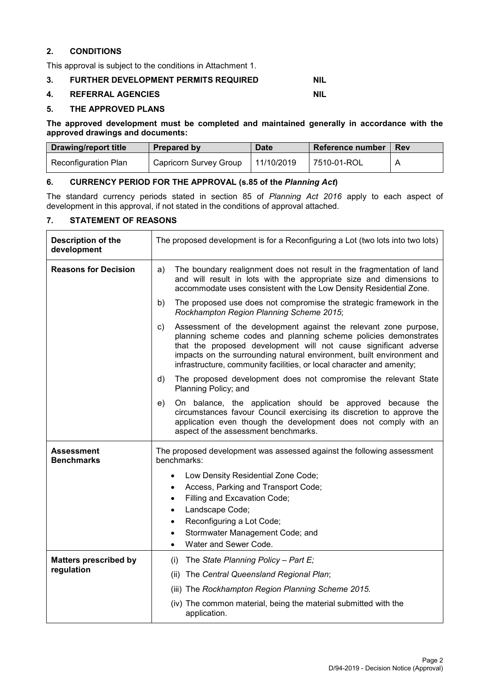#### **2. CONDITIONS**

This approval is subject to the conditions in Attachment 1.

#### **3. FURTHER DEVELOPMENT PERMITS REQUIRED NIL**

#### **4. REFERRAL AGENCIES NIL**

#### **5. THE APPROVED PLANS**

**The approved development must be completed and maintained generally in accordance with the approved drawings and documents:**

| <b>Drawing/report title</b> | Prepared by            | <b>Date</b> | Reference number | <b>Rev</b> |
|-----------------------------|------------------------|-------------|------------------|------------|
| Reconfiguration Plan        | Capricorn Survey Group | 11/10/2019  | 7510-01-ROL      |            |

#### **6. CURRENCY PERIOD FOR THE APPROVAL (s.85 of the** *Planning Act***)**

The standard currency periods stated in section 85 of *Planning Act 2016* apply to each aspect of development in this approval, if not stated in the conditions of approval attached.

#### **7. STATEMENT OF REASONS**

| <b>Description of the</b><br>development   | The proposed development is for a Reconfiguring a Lot (two lots into two lots)                                                                                                                                                                                                                                                                                  |  |
|--------------------------------------------|-----------------------------------------------------------------------------------------------------------------------------------------------------------------------------------------------------------------------------------------------------------------------------------------------------------------------------------------------------------------|--|
| <b>Reasons for Decision</b>                | The boundary realignment does not result in the fragmentation of land<br>a)<br>and will result in lots with the appropriate size and dimensions to<br>accommodate uses consistent with the Low Density Residential Zone.                                                                                                                                        |  |
|                                            | The proposed use does not compromise the strategic framework in the<br>b)<br>Rockhampton Region Planning Scheme 2015;                                                                                                                                                                                                                                           |  |
|                                            | Assessment of the development against the relevant zone purpose,<br>c)<br>planning scheme codes and planning scheme policies demonstrates<br>that the proposed development will not cause significant adverse<br>impacts on the surrounding natural environment, built environment and<br>infrastructure, community facilities, or local character and amenity; |  |
|                                            | The proposed development does not compromise the relevant State<br>d)<br>Planning Policy; and                                                                                                                                                                                                                                                                   |  |
|                                            | On balance, the application should be approved because the<br>e)<br>circumstances favour Council exercising its discretion to approve the<br>application even though the development does not comply with an<br>aspect of the assessment benchmarks.                                                                                                            |  |
| Assessment<br><b>Benchmarks</b>            | The proposed development was assessed against the following assessment<br>benchmarks:                                                                                                                                                                                                                                                                           |  |
|                                            | Low Density Residential Zone Code;<br>Access, Parking and Transport Code;<br>Filling and Excavation Code;<br>$\bullet$<br>Landscape Code;<br>Reconfiguring a Lot Code;<br>$\bullet$<br>Stormwater Management Code; and                                                                                                                                          |  |
|                                            | Water and Sewer Code.                                                                                                                                                                                                                                                                                                                                           |  |
| <b>Matters prescribed by</b><br>regulation | The State Planning Policy - Part E;<br>(i)                                                                                                                                                                                                                                                                                                                      |  |
|                                            | The Central Queensland Regional Plan;<br>(ii)<br>(iii) The Rockhampton Region Planning Scheme 2015.                                                                                                                                                                                                                                                             |  |
|                                            | (iv) The common material, being the material submitted with the<br>application.                                                                                                                                                                                                                                                                                 |  |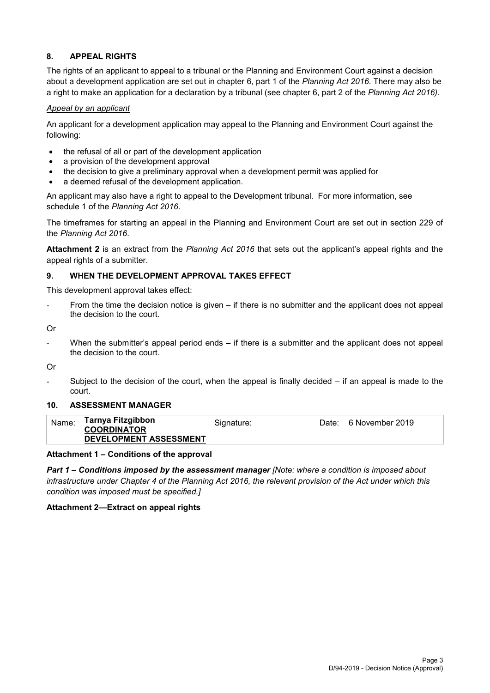### **8. APPEAL RIGHTS**

The rights of an applicant to appeal to a tribunal or the Planning and Environment Court against a decision about a development application are set out in chapter 6, part 1 of the *Planning Act 2016*. There may also be a right to make an application for a declaration by a tribunal (see chapter 6, part 2 of the *Planning Act 2016).*

#### *Appeal by an applicant*

An applicant for a development application may appeal to the Planning and Environment Court against the following:

- the refusal of all or part of the development application
- a provision of the development approval
- the decision to give a preliminary approval when a development permit was applied for
- a deemed refusal of the development application.

An applicant may also have a right to appeal to the Development tribunal. For more information, see schedule 1 of the *Planning Act 2016*.

The timeframes for starting an appeal in the Planning and Environment Court are set out in section 229 of the *Planning Act 2016*.

**Attachment 2** is an extract from the *Planning Act 2016* that sets out the applicant's appeal rights and the appeal rights of a submitter.

#### **9. WHEN THE DEVELOPMENT APPROVAL TAKES EFFECT**

This development approval takes effect:

From the time the decision notice is given – if there is no submitter and the applicant does not appeal the decision to the court.

Or

When the submitter's appeal period ends  $-$  if there is a submitter and the applicant does not appeal the decision to the court.

Or

Subject to the decision of the court, when the appeal is finally decided  $-$  if an appeal is made to the court.

#### **10. ASSESSMENT MANAGER**

| Name: | Tarnya Fitzgibbon<br><b>COORDINATOR</b><br>DEVELOPMENT ASSESSMENT | Signature: | Date: 6 November 2019 |
|-------|-------------------------------------------------------------------|------------|-----------------------|
|       |                                                                   |            |                       |

#### **Attachment 1 – Conditions of the approval**

*Part 1* **–** *Conditions imposed by the assessment manager [Note: where a condition is imposed about infrastructure under Chapter 4 of the Planning Act 2016, the relevant provision of the Act under which this condition was imposed must be specified.]*

#### **Attachment 2—Extract on appeal rights**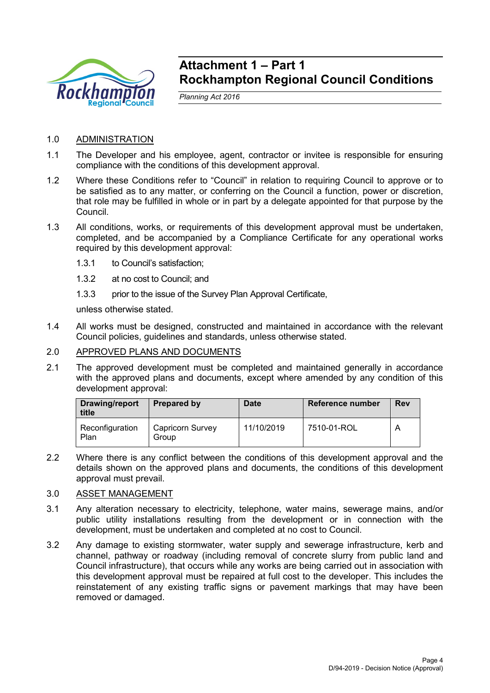

## **Attachment 1 – Part 1 Rockhampton Regional Council Conditions**

*Planning Act 2016*

## 1.0 ADMINISTRATION

- 1.1 The Developer and his employee, agent, contractor or invitee is responsible for ensuring compliance with the conditions of this development approval.
- 1.2 Where these Conditions refer to "Council" in relation to requiring Council to approve or to be satisfied as to any matter, or conferring on the Council a function, power or discretion, that role may be fulfilled in whole or in part by a delegate appointed for that purpose by the Council.
- 1.3 All conditions, works, or requirements of this development approval must be undertaken, completed, and be accompanied by a Compliance Certificate for any operational works required by this development approval:
	- 1.3.1 to Council's satisfaction;
	- 1.3.2 at no cost to Council; and
	- 1.3.3 prior to the issue of the Survey Plan Approval Certificate,

unless otherwise stated.

1.4 All works must be designed, constructed and maintained in accordance with the relevant Council policies, guidelines and standards, unless otherwise stated.

### 2.0 APPROVED PLANS AND DOCUMENTS

2.1 The approved development must be completed and maintained generally in accordance with the approved plans and documents, except where amended by any condition of this development approval:

| Drawing/report<br>title | Prepared by               | <b>Date</b> | Reference number | <b>Rev</b> |
|-------------------------|---------------------------|-------------|------------------|------------|
| Reconfiguration<br>Plan | Capricorn Survey<br>Group | 11/10/2019  | 7510-01-ROL      | A          |

2.2 Where there is any conflict between the conditions of this development approval and the details shown on the approved plans and documents, the conditions of this development approval must prevail.

#### 3.0 ASSET MANAGEMENT

- 3.1 Any alteration necessary to electricity, telephone, water mains, sewerage mains, and/or public utility installations resulting from the development or in connection with the development, must be undertaken and completed at no cost to Council.
- 3.2 Any damage to existing stormwater, water supply and sewerage infrastructure, kerb and channel, pathway or roadway (including removal of concrete slurry from public land and Council infrastructure), that occurs while any works are being carried out in association with this development approval must be repaired at full cost to the developer. This includes the reinstatement of any existing traffic signs or pavement markings that may have been removed or damaged.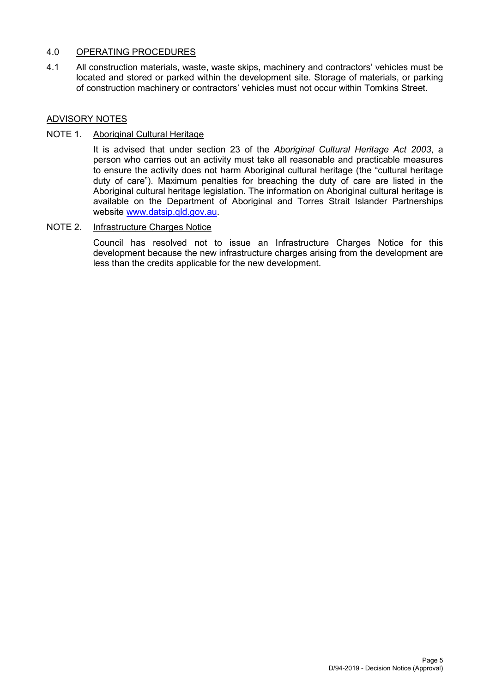### 4.0 OPERATING PROCEDURES

4.1 All construction materials, waste, waste skips, machinery and contractors' vehicles must be located and stored or parked within the development site. Storage of materials, or parking of construction machinery or contractors' vehicles must not occur within Tomkins Street.

## ADVISORY NOTES

## NOTE 1. Aboriginal Cultural Heritage

It is advised that under section 23 of the *Aboriginal Cultural Heritage Act 2003*, a person who carries out an activity must take all reasonable and practicable measures to ensure the activity does not harm Aboriginal cultural heritage (the "cultural heritage duty of care"). Maximum penalties for breaching the duty of care are listed in the Aboriginal cultural heritage legislation. The information on Aboriginal cultural heritage is available on the Department of Aboriginal and Torres Strait Islander Partnerships website [www.datsip.qld.gov.au.](http://www.datsip.qld.gov.au/)

### NOTE 2. Infrastructure Charges Notice

Council has resolved not to issue an Infrastructure Charges Notice for this development because the new infrastructure charges arising from the development are less than the credits applicable for the new development.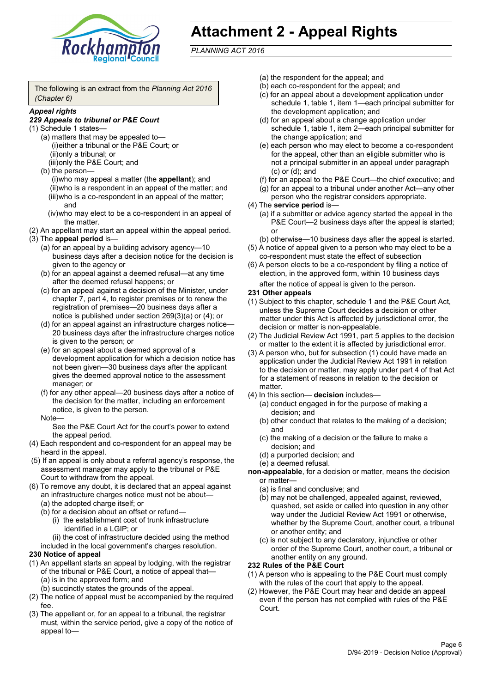

## **Attachment 2 - Appeal Rights**

*PLANNING ACT 2016*

The following is an extract from the *Planning Act 2016 (Chapter 6)*

#### *Appeal rights*

#### *229 Appeals to tribunal or P&E Court*

- (1) Schedule 1 states—
	- (a) matters that may be appealed to— (i)either a tribunal or the P&E Court; or (ii)only a tribunal; or (iii)only the P&E Court; and
	- (b) the person—

(i)who may appeal a matter (the **appellant**); and (ii)who is a respondent in an appeal of the matter; and (iii)who is a co-respondent in an appeal of the matter; and

- (iv)who may elect to be a co-respondent in an appeal of the matter.
- (2) An appellant may start an appeal within the appeal period.
- (3) The **appeal period** is—
	- (a) for an appeal by a building advisory agency—10 business days after a decision notice for the decision is given to the agency or
	- (b) for an appeal against a deemed refusal—at any time after the deemed refusal happens; or
	- (c) for an appeal against a decision of the Minister, under chapter 7, part 4, to register premises or to renew the registration of premises—20 business days after a notice is published under section 269(3)(a) or (4); or
	- (d) for an appeal against an infrastructure charges notice— 20 business days after the infrastructure charges notice is given to the person; or
	- (e) for an appeal about a deemed approval of a development application for which a decision notice has not been given—30 business days after the applicant gives the deemed approval notice to the assessment manager; or
	- (f) for any other appeal—20 business days after a notice of the decision for the matter, including an enforcement notice, is given to the person.

#### Note—

See the P&E Court Act for the court's power to extend the appeal period.

- (4) Each respondent and co-respondent for an appeal may be heard in the appeal.
- (5) If an appeal is only about a referral agency's response, the assessment manager may apply to the tribunal or P&E Court to withdraw from the appeal.
- (6) To remove any doubt, it is declared that an appeal against an infrastructure charges notice must not be about—
	- (a) the adopted charge itself; or
	- (b) for a decision about an offset or refund—
		- (i) the establishment cost of trunk infrastructure identified in a LGIP; or

(ii) the cost of infrastructure decided using the method

included in the local government's charges resolution.

#### **230 Notice of appeal**

- (1) An appellant starts an appeal by lodging, with the registrar of the tribunal or P&E Court, a notice of appeal that—
	- (a) is in the approved form; and
	- (b) succinctly states the grounds of the appeal.
- (2) The notice of appeal must be accompanied by the required fee.
- (3) The appellant or, for an appeal to a tribunal, the registrar must, within the service period, give a copy of the notice of appeal to—
- (a) the respondent for the appeal; and
- (b) each co-respondent for the appeal; and
- (c) for an appeal about a development application under schedule 1, table 1, item 1—each principal submitter for the development application; and
- (d) for an appeal about a change application under schedule 1, table 1, item 2—each principal submitter for the change application; and
- (e) each person who may elect to become a co-respondent for the appeal, other than an eligible submitter who is not a principal submitter in an appeal under paragraph (c) or (d); and
- (f) for an appeal to the P&E Court—the chief executive; and
- (g) for an appeal to a tribunal under another Act—any other person who the registrar considers appropriate.
- (4) The **service period** is—
	- (a) if a submitter or advice agency started the appeal in the P&E Court—2 business days after the appeal is started; or
	- (b) otherwise—10 business days after the appeal is started.
- (5) A notice of appeal given to a person who may elect to be a co-respondent must state the effect of subsection
- (6) A person elects to be a co-respondent by filing a notice of election, in the approved form, within 10 business days after the notice of appeal is given to the person*.*
- **231 Other appeals**
- (1) Subject to this chapter, schedule 1 and the P&E Court Act, unless the Supreme Court decides a decision or other matter under this Act is affected by jurisdictional error, the decision or matter is non-appealable.
- (2) The Judicial Review Act 1991, part 5 applies to the decision or matter to the extent it is affected by jurisdictional error.
- (3) A person who, but for subsection (1) could have made an application under the Judicial Review Act 1991 in relation to the decision or matter, may apply under part 4 of that Act for a statement of reasons in relation to the decision or matter.
- (4) In this section— **decision** includes—
	- (a) conduct engaged in for the purpose of making a decision; and
	- (b) other conduct that relates to the making of a decision; and
	- (c) the making of a decision or the failure to make a decision; and
	- (d) a purported decision; and
	- (e) a deemed refusal.

**non-appealable**, for a decision or matter, means the decision or matter—

- (a) is final and conclusive; and
- (b) may not be challenged, appealed against, reviewed, quashed, set aside or called into question in any other way under the Judicial Review Act 1991 or otherwise, whether by the Supreme Court, another court, a tribunal or another entity; and
- (c) is not subject to any declaratory, injunctive or other order of the Supreme Court, another court, a tribunal or another entity on any ground.

#### **232 Rules of the P&E Court**

- (1) A person who is appealing to the P&E Court must comply with the rules of the court that apply to the appeal.
- (2) However, the P&E Court may hear and decide an appeal even if the person has not complied with rules of the P&E Court.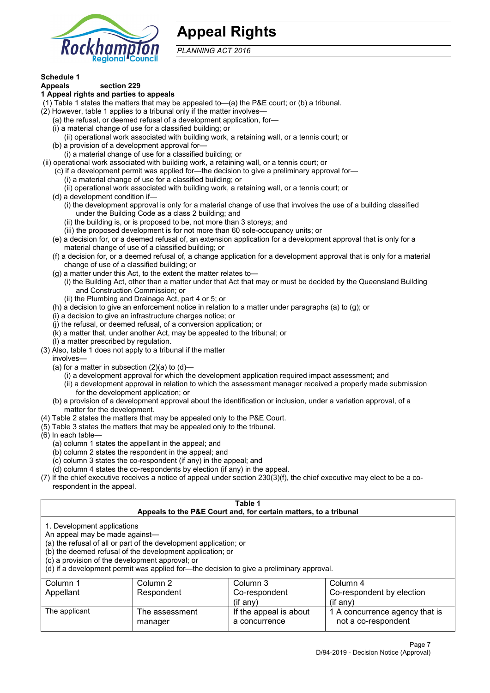

## **Appeal Rights**

*PLANNING ACT 2016*

## **Schedule 1**

#### **Appeals section 229 1 Appeal rights and parties to appeals**

- (1) Table 1 states the matters that may be appealed to—(a) the P&E court; or (b) a tribunal.
- (2) However, table 1 applies to a tribunal only if the matter involves—
	- (a) the refusal, or deemed refusal of a development application, for—
	- (i) a material change of use for a classified building; or
	- (ii) operational work associated with building work, a retaining wall, or a tennis court; or
	- (b) a provision of a development approval for—
	- (i) a material change of use for a classified building; or
- (ii) operational work associated with building work, a retaining wall, or a tennis court; or
	- (c) if a development permit was applied for—the decision to give a preliminary approval for—
		- (i) a material change of use for a classified building; or
		- (ii) operational work associated with building work, a retaining wall, or a tennis court; or
	- (d) a development condition if—
		- (i) the development approval is only for a material change of use that involves the use of a building classified under the Building Code as a class 2 building; and
		- (ii) the building is, or is proposed to be, not more than 3 storeys; and
		- (iii) the proposed development is for not more than 60 sole-occupancy units; or
	- (e) a decision for, or a deemed refusal of, an extension application for a development approval that is only for a material change of use of a classified building; or
	- (f) a decision for, or a deemed refusal of, a change application for a development approval that is only for a material change of use of a classified building; or
	- (g) a matter under this Act, to the extent the matter relates to—
		- (i) the Building Act, other than a matter under that Act that may or must be decided by the Queensland Building and Construction Commission; or
		- (ii) the Plumbing and Drainage Act, part 4 or 5; or
	- (h) a decision to give an enforcement notice in relation to a matter under paragraphs (a) to (g); or
	- (i) a decision to give an infrastructure charges notice; or
	- (j) the refusal, or deemed refusal, of a conversion application; or
	- (k) a matter that, under another Act, may be appealed to the tribunal; or
	- (l) a matter prescribed by regulation.
- (3) Also, table 1 does not apply to a tribunal if the matter

involves—

- (a) for a matter in subsection  $(2)(a)$  to  $(d)$ 
	- (i) a development approval for which the development application required impact assessment; and
	- (ii) a development approval in relation to which the assessment manager received a properly made submission for the development application; or
- (b) a provision of a development approval about the identification or inclusion, under a variation approval, of a matter for the development.
- (4) Table 2 states the matters that may be appealed only to the P&E Court.
- (5) Table 3 states the matters that may be appealed only to the tribunal.
- (6) In each table—
	- (a) column 1 states the appellant in the appeal; and
	- (b) column 2 states the respondent in the appeal; and
	- (c) column 3 states the co-respondent (if any) in the appeal; and
	- (d) column 4 states the co-respondents by election (if any) in the appeal.
- (7) If the chief executive receives a notice of appeal under section 230(3)(f), the chief executive may elect to be a corespondent in the appeal.

| Table 1                                                                                                                                                                                                                                                                                                                                        |                              |                                                                  |                                                       |  |  |  |
|------------------------------------------------------------------------------------------------------------------------------------------------------------------------------------------------------------------------------------------------------------------------------------------------------------------------------------------------|------------------------------|------------------------------------------------------------------|-------------------------------------------------------|--|--|--|
|                                                                                                                                                                                                                                                                                                                                                |                              | Appeals to the P&E Court and, for certain matters, to a tribunal |                                                       |  |  |  |
| 1. Development applications<br>An appeal may be made against-<br>(a) the refusal of all or part of the development application; or<br>(b) the deemed refusal of the development application; or<br>(c) a provision of the development approval; or<br>(d) if a development permit was applied for—the decision to give a preliminary approval. |                              |                                                                  |                                                       |  |  |  |
| Column 1                                                                                                                                                                                                                                                                                                                                       | Column 2                     | Column 3                                                         | Column 4                                              |  |  |  |
| Appellant                                                                                                                                                                                                                                                                                                                                      | Respondent                   | Co-respondent                                                    | Co-respondent by election                             |  |  |  |
|                                                                                                                                                                                                                                                                                                                                                | $(if$ any)<br>$($ if any $)$ |                                                                  |                                                       |  |  |  |
| The applicant                                                                                                                                                                                                                                                                                                                                  | The assessment<br>manager    | If the appeal is about<br>a concurrence                          | 1 A concurrence agency that is<br>not a co-respondent |  |  |  |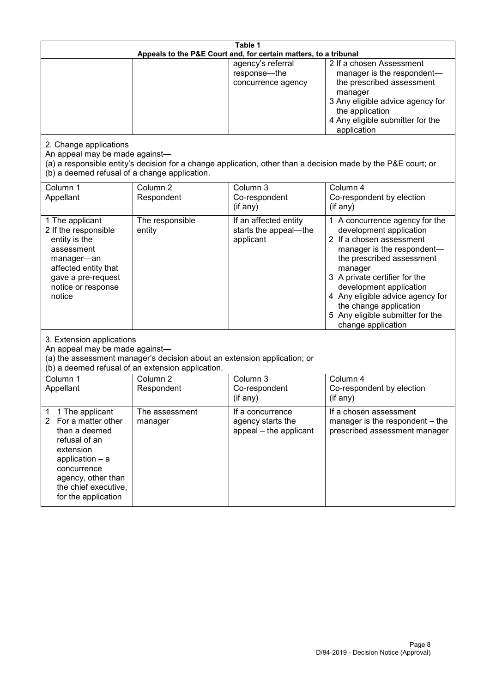| Table 1<br>Appeals to the P&E Court and, for certain matters, to a tribunal                                                                                                                           |                                                                                                                               |                                                                 |                                                                                                                                                                                                                                                                                                                                                 |  |
|-------------------------------------------------------------------------------------------------------------------------------------------------------------------------------------------------------|-------------------------------------------------------------------------------------------------------------------------------|-----------------------------------------------------------------|-------------------------------------------------------------------------------------------------------------------------------------------------------------------------------------------------------------------------------------------------------------------------------------------------------------------------------------------------|--|
|                                                                                                                                                                                                       |                                                                                                                               | agency's referral<br>response-the<br>concurrence agency         | 2 If a chosen Assessment<br>manager is the respondent-<br>the prescribed assessment<br>manager<br>3 Any eligible advice agency for<br>the application<br>4 Any eligible submitter for the<br>application                                                                                                                                        |  |
| 2. Change applications<br>An appeal may be made against-<br>(b) a deemed refusal of a change application.                                                                                             |                                                                                                                               |                                                                 | (a) a responsible entity's decision for a change application, other than a decision made by the P&E court; or                                                                                                                                                                                                                                   |  |
| Column 1<br>Appellant                                                                                                                                                                                 | Column <sub>2</sub><br>Respondent                                                                                             | Column 3<br>Co-respondent<br>(if any)                           | Column 4<br>Co-respondent by election<br>(if any)                                                                                                                                                                                                                                                                                               |  |
| 1 The applicant<br>2 If the responsible<br>entity is the<br>assessment<br>manager-an<br>affected entity that<br>gave a pre-request<br>notice or response<br>notice                                    | The responsible<br>entity                                                                                                     | If an affected entity<br>starts the appeal-the<br>applicant     | 1 A concurrence agency for the<br>development application<br>2 If a chosen assessment<br>manager is the respondent-<br>the prescribed assessment<br>manager<br>3 A private certifier for the<br>development application<br>4 Any eligible advice agency for<br>the change application<br>5 Any eligible submitter for the<br>change application |  |
| 3. Extension applications<br>An appeal may be made against-                                                                                                                                           | (a) the assessment manager's decision about an extension application; or<br>(b) a deemed refusal of an extension application. |                                                                 |                                                                                                                                                                                                                                                                                                                                                 |  |
| Column 1<br>Appellant                                                                                                                                                                                 | Column <sub>2</sub><br>Respondent                                                                                             | Column 3<br>Co-respondent<br>(if any)                           | Column 4<br>Co-respondent by election<br>(if any)                                                                                                                                                                                                                                                                                               |  |
| 1 The applicant<br>1<br>2<br>For a matter other<br>than a deemed<br>refusal of an<br>extension<br>application - a<br>concurrence<br>agency, other than<br>the chief executive,<br>for the application | The assessment<br>manager                                                                                                     | If a concurrence<br>agency starts the<br>appeal - the applicant | If a chosen assessment<br>manager is the respondent - the<br>prescribed assessment manager                                                                                                                                                                                                                                                      |  |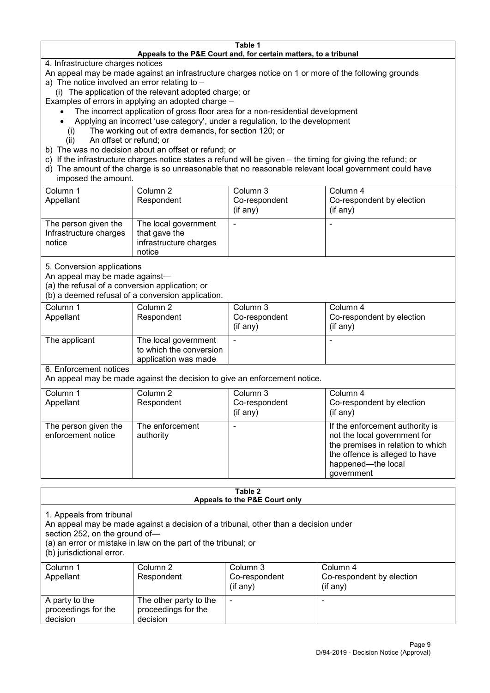#### **Table 1 Appeals to the P&E Court and, for certain matters, to a tribunal**

4. Infrastructure charges notices

- An appeal may be made against an infrastructure charges notice on 1 or more of the following grounds
- a) The notice involved an error relating to
	- (i) The application of the relevant adopted charge; or
- Examples of errors in applying an adopted charge
	- The incorrect application of gross floor area for a non-residential development
	- Applying an incorrect 'use category', under a regulation, to the development
	- (i) The working out of extra demands, for section 120; or
	- (ii) An offset or refund; or
- b) The was no decision about an offset or refund; or
- c) If the infrastructure charges notice states a refund will be given the timing for giving the refund; or
- d) The amount of the charge is so unreasonable that no reasonable relevant local government could have

## imposed the amount.

| Column 1               | Column 2               | Column 3      | Column 4                  |
|------------------------|------------------------|---------------|---------------------------|
| Appellant              | Respondent             | Co-respondent | Co-respondent by election |
|                        |                        | (if any)      | $($ if any $)$            |
| The person given the   | The local government   |               |                           |
| Infrastructure charges | that gave the          |               |                           |
| notice                 | infrastructure charges |               |                           |
|                        | notice                 |               |                           |

5. Conversion applications

An appeal may be made against—

(a) the refusal of a conversion application; or

(b) a deemed refusal of a conversion application.

| Column 1<br>Appellant | Column 2<br>Respondent                                                  | Column 3<br>Co-respondent<br>$($ if any $)$ | Column 4<br>Co-respondent by election<br>$($ if any $)$ |
|-----------------------|-------------------------------------------------------------------------|---------------------------------------------|---------------------------------------------------------|
| The applicant         | The local government<br>to which the conversion<br>application was made |                                             | $\,$                                                    |

6. Enforcement notices

An appeal may be made against the decision to give an enforcement notice.

| Column 1                                   | Column 2                     | Column 3      | Column 4                                                                                                                                                                   |
|--------------------------------------------|------------------------------|---------------|----------------------------------------------------------------------------------------------------------------------------------------------------------------------------|
| Appellant                                  | Respondent                   | Co-respondent | Co-respondent by election                                                                                                                                                  |
|                                            |                              | (if any)      | $($ if any $)$                                                                                                                                                             |
| The person given the<br>enforcement notice | The enforcement<br>authority |               | If the enforcement authority is<br>not the local government for<br>the premises in relation to which<br>the offence is alleged to have<br>happened-the local<br>government |

#### **Table 2 Appeals to the P&E Court only**

1. Appeals from tribunal

An appeal may be made against a decision of a tribunal, other than a decision under

section 252, on the ground of—

(a) an error or mistake in law on the part of the tribunal; or

(b) jurisdictional error.

| Column 1<br>Appellant                             | Column 2<br>Respondent                                    | Column 3<br>Co-respondent<br>$($ if any $)$ | Column 4<br>Co-respondent by election<br>(if any) |
|---------------------------------------------------|-----------------------------------------------------------|---------------------------------------------|---------------------------------------------------|
| A party to the<br>proceedings for the<br>decision | The other party to the<br>proceedings for the<br>decision | ۰                                           |                                                   |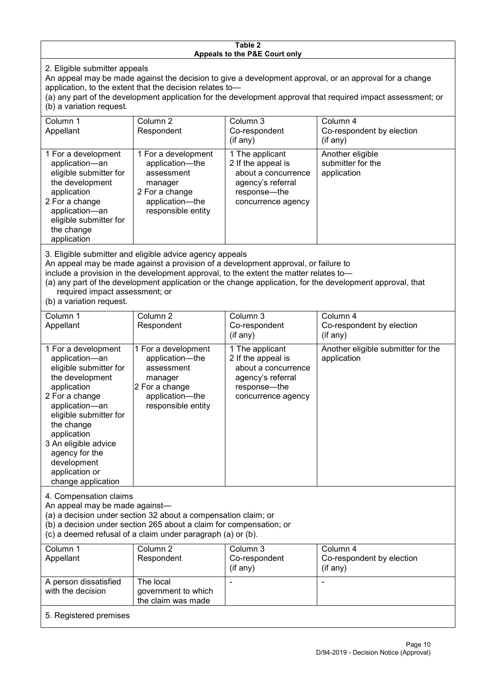#### **Table 2 Appeals to the P&E Court only**

2. Eligible submitter appeals

An appeal may be made against the decision to give a development approval, or an approval for a change application, to the extent that the decision relates to—

(a) any part of the development application for the development approval that required impact assessment; or (b) a variation request.

| Column 1<br>Appellant                                                                                                                                                                        | Column 2<br>Respondent                                                                                                     | Column 3<br>Co-respondent<br>(if any)                                                                                   | Column 4<br>Co-respondent by election<br>(if any)    |
|----------------------------------------------------------------------------------------------------------------------------------------------------------------------------------------------|----------------------------------------------------------------------------------------------------------------------------|-------------------------------------------------------------------------------------------------------------------------|------------------------------------------------------|
| 1 For a development<br>application-an<br>eligible submitter for<br>the development<br>application<br>2 For a change<br>application-an<br>eligible submitter for<br>the change<br>application | 1 For a development<br>application-the<br>assessment<br>manager<br>2 For a change<br>application-the<br>responsible entity | 1 The applicant<br>2 If the appeal is<br>about a concurrence<br>agency's referral<br>response-the<br>concurrence agency | Another eligible<br>submitter for the<br>application |
| 2. Eligible cubmitter and eligible advice agency appeals                                                                                                                                     |                                                                                                                            |                                                                                                                         |                                                      |

3. Eligible submitter and eligible advice agency appeals

An appeal may be made against a provision of a development approval, or failure to

include a provision in the development approval, to the extent the matter relates to—

(a) any part of the development application or the change application, for the development approval, that required impact assessment; or

(b) a variation request.

| Column 1<br>Appellant                                                                                                                                                                                                                                                                         | Column 2<br>Respondent                                                                                                     | Column 3<br>Co-respondent<br>(if any)                                                                                   | Column 4<br>Co-respondent by election<br>(if any) |
|-----------------------------------------------------------------------------------------------------------------------------------------------------------------------------------------------------------------------------------------------------------------------------------------------|----------------------------------------------------------------------------------------------------------------------------|-------------------------------------------------------------------------------------------------------------------------|---------------------------------------------------|
| 1 For a development<br>application-an<br>eligible submitter for<br>the development<br>application<br>2 For a change<br>application-an<br>eligible submitter for<br>the change<br>application<br>3 An eligible advice<br>agency for the<br>development<br>application or<br>change application | 1 For a development<br>application-the<br>assessment<br>manager<br>2 For a change<br>application-the<br>responsible entity | 1 The applicant<br>2 If the appeal is<br>about a concurrence<br>agency's referral<br>response-the<br>concurrence agency | Another eligible submitter for the<br>application |
| 4. Compensation claims<br>An appeal may be made against-<br>(a) a decision under section 32 about a compensation claim; or<br>(b) a decision under section 265 about a claim for compensation; or<br>(c) a deemed refusal of a claim under paragraph (a) or (b).                              |                                                                                                                            |                                                                                                                         |                                                   |
| Column 1<br>Appellant                                                                                                                                                                                                                                                                         | Column 2<br>Respondent                                                                                                     | Column 3<br>Co-respondent<br>(if any)                                                                                   | Column 4<br>Co-respondent by election<br>(if any) |
| A person dissatisfied<br>with the decision                                                                                                                                                                                                                                                    | The local<br>government to which<br>the claim was made                                                                     |                                                                                                                         | $\blacksquare$                                    |
| 5. Registered premises                                                                                                                                                                                                                                                                        |                                                                                                                            |                                                                                                                         |                                                   |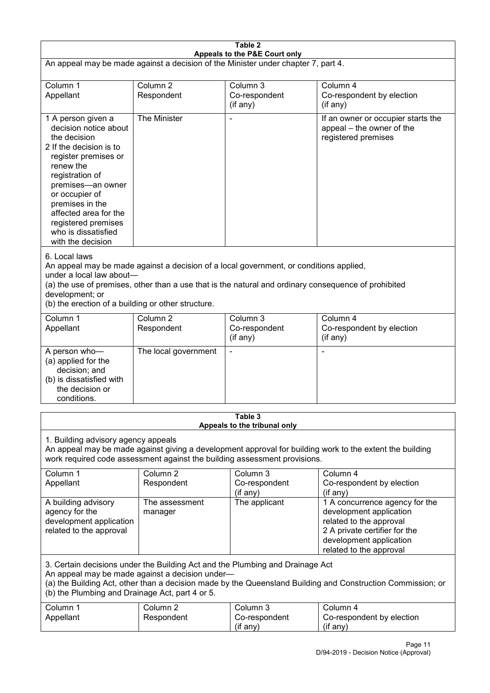| Table 2<br>Appeals to the P&E Court only                                                                                                                                                                                                                                                             |                                                                                                                                                                                                                                                                                  |                                         |                                                                                                                                                                             |  |  |
|------------------------------------------------------------------------------------------------------------------------------------------------------------------------------------------------------------------------------------------------------------------------------------------------------|----------------------------------------------------------------------------------------------------------------------------------------------------------------------------------------------------------------------------------------------------------------------------------|-----------------------------------------|-----------------------------------------------------------------------------------------------------------------------------------------------------------------------------|--|--|
| An appeal may be made against a decision of the Minister under chapter 7, part 4.                                                                                                                                                                                                                    |                                                                                                                                                                                                                                                                                  |                                         |                                                                                                                                                                             |  |  |
| Column 1<br>Appellant                                                                                                                                                                                                                                                                                | Column <sub>2</sub><br>Respondent                                                                                                                                                                                                                                                | Column 3<br>Co-respondent<br>(if any)   | Column 4<br>Co-respondent by election<br>(if any)                                                                                                                           |  |  |
| 1 A person given a<br>decision notice about<br>the decision<br>2 If the decision is to<br>register premises or<br>renew the<br>registration of<br>premises-an owner<br>or occupier of<br>premises in the<br>affected area for the<br>registered premises<br>who is dissatisfied<br>with the decision | The Minister                                                                                                                                                                                                                                                                     |                                         | If an owner or occupier starts the<br>appeal - the owner of the<br>registered premises                                                                                      |  |  |
| 6. Local laws<br>development; or                                                                                                                                                                                                                                                                     | An appeal may be made against a decision of a local government, or conditions applied,<br>under a local law about-<br>(a) the use of premises, other than a use that is the natural and ordinary consequence of prohibited<br>(b) the erection of a building or other structure. |                                         |                                                                                                                                                                             |  |  |
| Column 1<br>Appellant                                                                                                                                                                                                                                                                                | Column <sub>2</sub><br>Respondent                                                                                                                                                                                                                                                | Column 3<br>Co-respondent<br>(if any)   | Column 4<br>Co-respondent by election<br>(if any)                                                                                                                           |  |  |
| A person who-<br>(a) applied for the<br>decision; and<br>(b) is dissatisfied with<br>the decision or<br>conditions.                                                                                                                                                                                  | The local government                                                                                                                                                                                                                                                             |                                         | ٠                                                                                                                                                                           |  |  |
|                                                                                                                                                                                                                                                                                                      |                                                                                                                                                                                                                                                                                  | Table 3<br>Appeals to the tribunal only |                                                                                                                                                                             |  |  |
| 1. Building advisory agency appeals<br>An appeal may be made against giving a development approval for building work to the extent the building<br>work required code assessment against the building assessment provisions.                                                                         |                                                                                                                                                                                                                                                                                  |                                         |                                                                                                                                                                             |  |  |
| Column 1<br>Appellant                                                                                                                                                                                                                                                                                | Column <sub>2</sub><br>Respondent                                                                                                                                                                                                                                                | Column 3<br>Co-respondent<br>(if any)   | Column 4<br>Co-respondent by election<br>(if any)                                                                                                                           |  |  |
| A building advisory<br>agency for the<br>development application<br>related to the approval                                                                                                                                                                                                          | The assessment<br>manager                                                                                                                                                                                                                                                        | The applicant                           | 1 A concurrence agency for the<br>development application<br>related to the approval<br>2 A private certifier for the<br>development application<br>related to the approval |  |  |
| 3. Certain decisions under the Building Act and the Plumbing and Drainage Act<br>An appeal may be made against a decision under-<br>(a) the Building Act, other than a decision made by the Queensland Building and Construction Commission; or<br>(b) the Plumbing and Drainage Act, part 4 or 5.   |                                                                                                                                                                                                                                                                                  |                                         |                                                                                                                                                                             |  |  |
| Column 1<br>Appellant                                                                                                                                                                                                                                                                                | Column <sub>2</sub><br>Respondent                                                                                                                                                                                                                                                | Column 3<br>Co-respondent<br>(if any)   | Column 4<br>Co-respondent by election<br>(if any)                                                                                                                           |  |  |